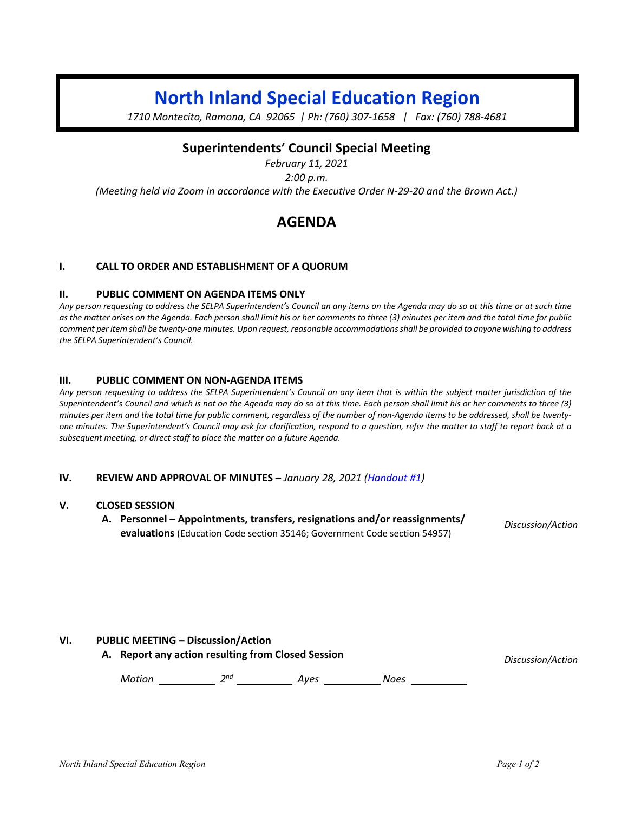# **North Inland Special Education Region**

*1710 Montecito, Ramona, CA 92065 | Ph: (760) 307-1658 | Fax: (760) 788-4681*

### **Superintendents' Council Special Meeting**

*February 11, 2021 2:00 p.m. (Meeting held via Zoom in accordance with the Executive Order N-29-20 and the Brown Act.)*

## **AGENDA**

#### **I. CALL TO ORDER AND ESTABLISHMENT OF A QUORUM**

#### **II. PUBLIC COMMENT ON AGENDA ITEMS ONLY**

*Any person requesting to address the SELPA Superintendent's Council an any items on the Agenda may do so at this time or at such time*  as the matter arises on the Agenda. Each person shall limit his or her comments to three (3) minutes per item and the total time for public *comment per item shall be twenty-one minutes. Upon request, reasonable accommodations shall be provided to anyone wishing to address the SELPA Superintendent's Council.*

#### **III. PUBLIC COMMENT ON NON-AGENDA ITEMS**

*Any person requesting to address the SELPA Superintendent's Council on any item that is within the subject matter jurisdiction of the Superintendent's Council and which is not on the Agenda may do so at this time. Each person shall limit his or her comments to three (3) minutes per item and the total time for public comment, regardless of the number of non-Agenda items to be addressed, shall be twentyone minutes. The Superintendent's Council may ask for clarification, respond to a question, refer the matter to staff to report back at a subsequent meeting, or direct staff to place the matter on a future Agenda.*

#### **IV. REVIEW AND APPROVAL OF MINUTES –** *January 28, 2021 (Handout #1)*

#### **V. CLOSED SESSION**

**A. Personnel – Appointments, transfers, resignations and/or reassignments/ evaluations** (Education Code section 35146; Government Code section 54957)

*Discussion/Action*

#### **VI. PUBLIC MEETING – Discussion/Action**

**A. Report any action resulting from Closed Session** *Discussion/Action*

*Motion* 2<sup>nd</sup> 2<sup>nd</sup> 4yes 2008 2008